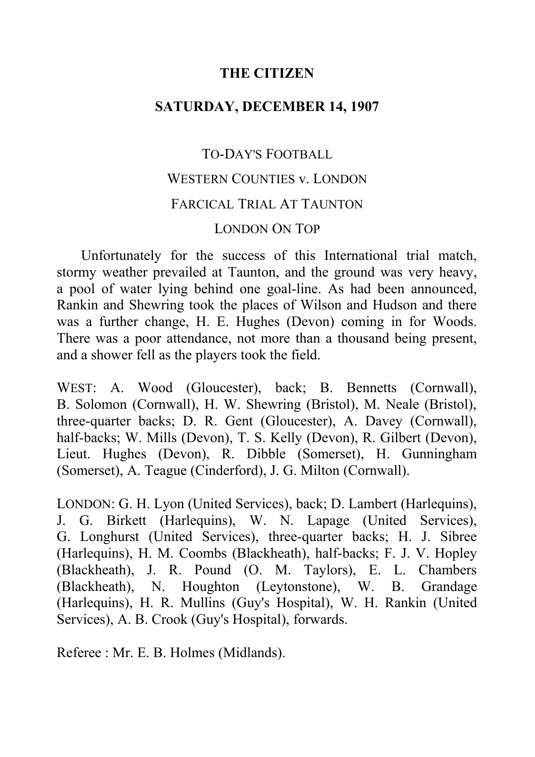## **THE CITIZEN**

## **SATURDAY, DECEMBER 14, 1907**

## TO-DAY'S FOOTBALL WESTERN COUNTIES v. LONDON FARCICAL TRIAL AT TAUNTON LONDON ON TOP

Unfortunately for the success of this International trial match, stormy weather prevailed at Taunton, and the ground was very heavy, a pool of water lying behind one goal-line. As had been announced, Rankin and Shewring took the places of Wilson and Hudson and there was a further change, H. E. Hughes (Devon) coming in for Woods. There was a poor attendance, not more than a thousand being present, and a shower fell as the players took the field.

WEST: A. Wood (Gloucester), back; B. Bennetts (Cornwall), B. Solomon (Cornwall), H. W. Shewring (Bristol), M. Neale (Bristol), three-quarter backs; D. R. Gent (Gloucester), A. Davey (Cornwall), half-backs; W. Mills (Devon), T. S. Kelly (Devon), R. Gilbert (Devon), Lieut. Hughes (Devon), R. Dibble (Somerset), H. Gunningham (Somerset), A. Teague (Cinderford), J. G. Milton (Cornwall).

LONDON: G. H. Lyon (United Services), back; D. Lambert (Harlequins), J. G. Birkett (Harlequins), W. N. Lapage (United Services), G. Longhurst (United Services), three-quarter backs; H. J. Sibree (Harlequins), H. M. Coombs (Blackheath), half-backs; F. J. V. Hopley (Blackheath), J. R. Pound (O. M. Taylors), E. L. Chambers (Blackheath), N. Houghton (Leytonstone), W. B. Grandage (Harlequins), H. R. Mullins (Guy's Hospital), W. H. Rankin (United Services), A. B. Crook (Guy's Hospital), forwards.

Referee : Mr. E. B. Holmes (Midlands).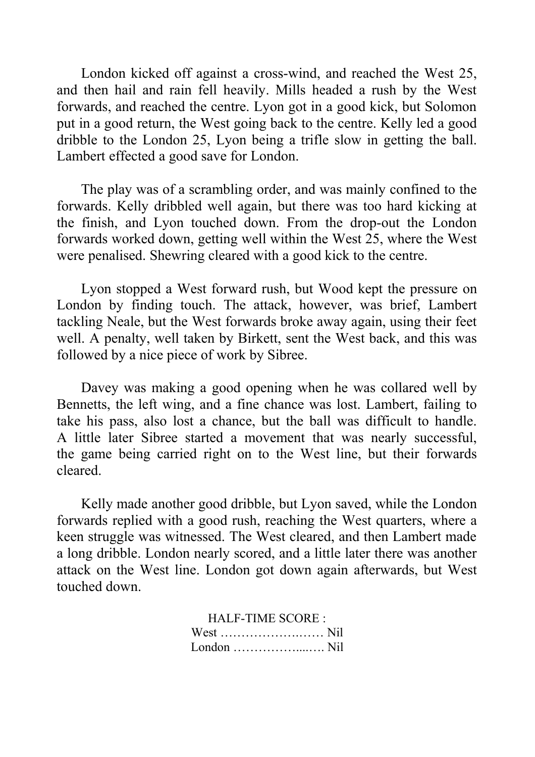London kicked off against a cross-wind, and reached the West 25, and then hail and rain fell heavily. Mills headed a rush by the West forwards, and reached the centre. Lyon got in a good kick, but Solomon put in a good return, the West going back to the centre. Kelly led a good dribble to the London 25, Lyon being a trifle slow in getting the ball. Lambert effected a good save for London.

The play was of a scrambling order, and was mainly confined to the forwards. Kelly dribbled well again, but there was too hard kicking at the finish, and Lyon touched down. From the drop-out the London forwards worked down, getting well within the West 25, where the West were penalised. Shewring cleared with a good kick to the centre.

Lyon stopped a West forward rush, but Wood kept the pressure on London by finding touch. The attack, however, was brief, Lambert tackling Neale, but the West forwards broke away again, using their feet well. A penalty, well taken by Birkett, sent the West back, and this was followed by a nice piece of work by Sibree.

Davey was making a good opening when he was collared well by Bennetts, the left wing, and a fine chance was lost. Lambert, failing to take his pass, also lost a chance, but the ball was difficult to handle. A little later Sibree started a movement that was nearly successful, the game being carried right on to the West line, but their forwards cleared.

Kelly made another good dribble, but Lyon saved, while the London forwards replied with a good rush, reaching the West quarters, where a keen struggle was witnessed. The West cleared, and then Lambert made a long dribble. London nearly scored, and a little later there was another attack on the West line. London got down again afterwards, but West touched down.

> HALF-TIME SCORE : West ……………….…… Nil London ……………....…. Nil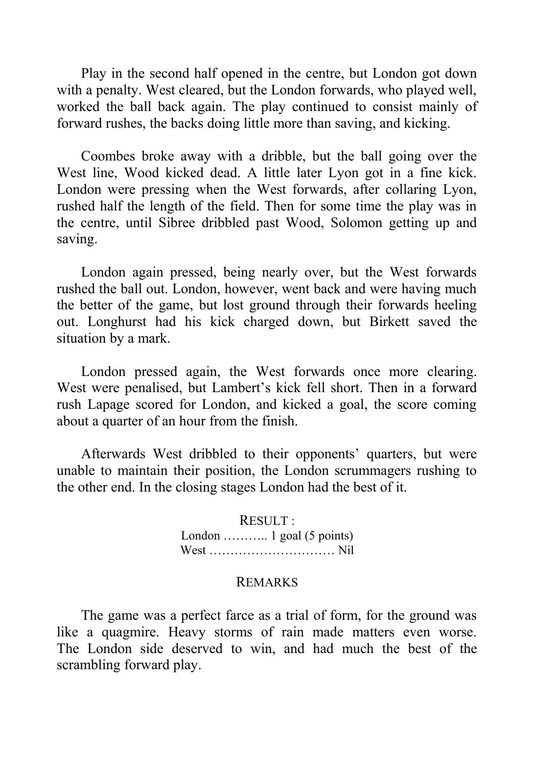Play in the second half opened in the centre, but London got down with a penalty. West cleared, but the London forwards, who played well, worked the ball back again. The play continued to consist mainly of forward rushes, the backs doing little more than saving, and kicking.

Coombes broke away with a dribble, but the ball going over the West line, Wood kicked dead. A little later Lyon got in a fine kick. London were pressing when the West forwards, after collaring Lyon, rushed half the length of the field. Then for some time the play was in the centre, until Sibree dribbled past Wood, Solomon getting up and saving.

London again pressed, being nearly over, but the West forwards rushed the ball out. London, however, went back and were having much the better of the game, but lost ground through their forwards heeling out. Longhurst had his kick charged down, but Birkett saved the situation by a mark.

London pressed again, the West forwards once more clearing. West were penalised, but Lambert's kick fell short. Then in a forward rush Lapage scored for London, and kicked a goal, the score coming about a quarter of an hour from the finish.

Afterwards West dribbled to their opponents' quarters, but were unable to maintain their position, the London scrummagers rushing to the other end. In the closing stages London had the best of it.

> RESULT : London ........... 1 goal (5 points) West ………………………… Nil

## REMARKS

The game was a perfect farce as a trial of form, for the ground was like a quagmire. Heavy storms of rain made matters even worse. The London side deserved to win, and had much the best of the scrambling forward play.